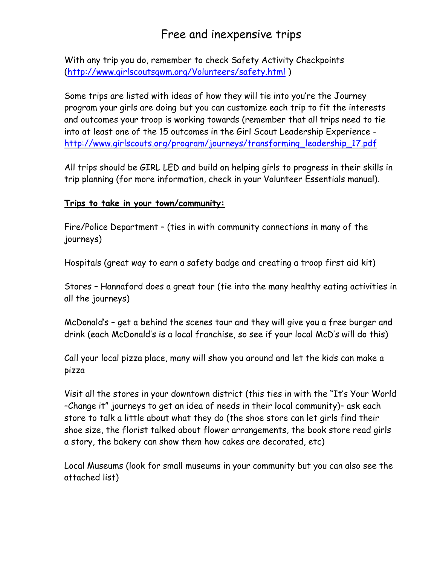## Free and inexpensive trips

With any trip you do, remember to check Safety Activity Checkpoints [\(http://www.girlscoutsgwm.org/Volunteers/safety.html](http://www.girlscoutsgwm.org/Volunteers/safety.html) )

Some trips are listed with ideas of how they will tie into you're the Journey program your girls are doing but you can customize each trip to fit the interests and outcomes your troop is working towards (remember that all trips need to tie into at least one of the 15 outcomes in the Girl Scout Leadership Experience [http://www.girlscouts.org/program/journeys/transforming\\_leadership\\_17.pdf](http://www.girlscouts.org/program/journeys/transforming_leadership_17.pdf)

All trips should be GIRL LED and build on helping girls to progress in their skills in trip planning (for more information, check in your Volunteer Essentials manual).

## **Trips to take in your town/community:**

Fire/Police Department – (ties in with community connections in many of the journeys)

Hospitals (great way to earn a safety badge and creating a troop first aid kit)

Stores – Hannaford does a great tour (tie into the many healthy eating activities in all the journeys)

McDonald's – get a behind the scenes tour and they will give you a free burger and drink (each McDonald's is a local franchise, so see if your local McD's will do this)

Call your local pizza place, many will show you around and let the kids can make a pizza

Visit all the stores in your downtown district (this ties in with the "It's Your World –Change it" journeys to get an idea of needs in their local community)– ask each store to talk a little about what they do (the shoe store can let girls find their shoe size, the florist talked about flower arrangements, the book store read girls a story, the bakery can show them how cakes are decorated, etc)

Local Museums (look for small museums in your community but you can also see the attached list)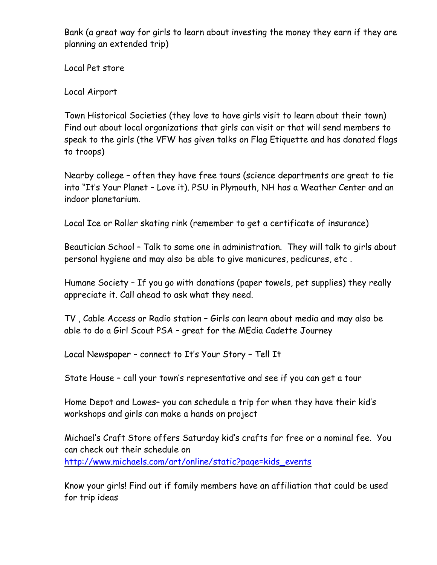Bank (a great way for girls to learn about investing the money they earn if they are planning an extended trip)

Local Pet store

Local Airport

Town Historical Societies (they love to have girls visit to learn about their town) Find out about local organizations that girls can visit or that will send members to speak to the girls (the VFW has given talks on Flag Etiquette and has donated flags to troops)

Nearby college – often they have free tours (science departments are great to tie into "It's Your Planet – Love it). PSU in Plymouth, NH has a Weather Center and an indoor planetarium.

Local Ice or Roller skating rink (remember to get a certificate of insurance)

Beautician School – Talk to some one in administration. They will talk to girls about personal hygiene and may also be able to give manicures, pedicures, etc .

Humane Society – If you go with donations (paper towels, pet supplies) they really appreciate it. Call ahead to ask what they need.

TV , Cable Access or Radio station – Girls can learn about media and may also be able to do a Girl Scout PSA – great for the MEdia Cadette Journey

Local Newspaper – connect to It's Your Story – Tell It

State House – call your town's representative and see if you can get a tour

Home Depot and Lowes– you can schedule a trip for when they have their kid's workshops and girls can make a hands on project

Michael's Craft Store offers Saturday kid's crafts for free or a nominal fee. You can check out their schedule on [http://www.michaels.com/art/online/static?page=kids\\_events](http://www.michaels.com/art/online/static?page=kids_events)

Know your girls! Find out if family members have an affiliation that could be used for trip ideas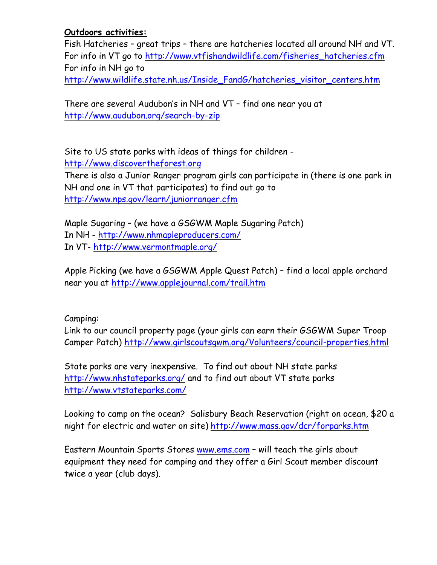## **Outdoors activities:**

Fish Hatcheries – great trips – there are hatcheries located all around NH and VT. For info in VT go to [http://www.vtfishandwildlife.com/fisheries\\_hatcheries.cfm](http://www.vtfishandwildlife.com/fisheries_hatcheries.cfm) For info in NH go to [http://www.wildlife.state.nh.us/Inside\\_FandG/hatcheries\\_visitor\\_centers.htm](http://www.wildlife.state.nh.us/Inside_FandG/hatcheries_visitor_centers.htm)

There are several Audubon's in NH and VT – find one near you at <http://www.audubon.org/search-by-zip>

Site to US state parks with ideas of things for children [http://www.discovertheforest.org](http://www.discovertheforest.org/) There is also a Junior Ranger program girls can participate in (there is one park in NH and one in VT that participates) to find out go to <http://www.nps.gov/learn/juniorranger.cfm>

Maple Sugaring – (we have a GSGWM Maple Sugaring Patch) In NH - <http://www.nhmapleproducers.com/> In VT- <http://www.vermontmaple.org/>

Apple Picking (we have a GSGWM Apple Quest Patch) – find a local apple orchard near you at<http://www.applejournal.com/trail.htm>

Camping:

Link to our council property page (your girls can earn their GSGWM Super Troop Camper Patch)<http://www.girlscoutsgwm.org/Volunteers/council-properties.html>

State parks are very inexpensive. To find out about NH state parks <http://www.nhstateparks.org/> and to find out about VT state parks <http://www.vtstateparks.com/>

Looking to camp on the ocean? Salisbury Beach Reservation (right on ocean, \$20 a night for electric and water on site) http://www.mass.gov/dcr/forparks.htm

Eastern Mountain Sports Stores [www.ems.com](http://www.ems.com/) – will teach the girls about equipment they need for camping and they offer a Girl Scout member discount twice a year (club days).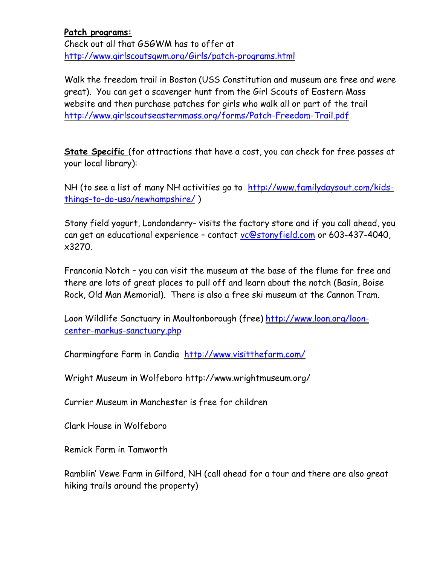**Patch programs:** Check out all that GSGWM has to offer at <http://www.girlscoutsgwm.org/Girls/patch-programs.html>

Walk the freedom trail in Boston (USS Constitution and museum are free and were great). You can get a scavenger hunt from the Girl Scouts of Eastern Mass website and then purchase patches for girls who walk all or part of the trail <http://www.girlscoutseasternmass.org/forms/Patch-Freedom-Trail.pdf>

**State Specific** (for attractions that have a cost, you can check for free passes at your local library):

NH (to see a list of many NH activities go to [http://www.familydaysout.com/kids](http://www.familydaysout.com/kids-things-to-do-usa/newhampshire/)[things-to-do-usa/newhampshire/](http://www.familydaysout.com/kids-things-to-do-usa/newhampshire/) )

Stony field yogurt, Londonderry- visits the factory store and if you call ahead, you can get an educational experience – contact [vc@stonyfield.com](mailto:vc@stonyfield.com) or 603-437-4040, x3270.

Franconia Notch – you can visit the museum at the base of the flume for free and there are lots of great places to pull off and learn about the notch (Basin, Boise Rock, Old Man Memorial). There is also a free ski museum at the Cannon Tram.

Loon Wildlife Sanctuary in Moultonborough (free) [http://www.loon.org/loon](http://www.loon.org/loon-center-markus-sanctuary.php)[center-markus-sanctuary.php](http://www.loon.org/loon-center-markus-sanctuary.php)

Charmingfare Farm in Candia <http://www.visitthefarm.com/>

Wright Museum in Wolfeboro http://www.wrightmuseum.org/

Currier Museum in Manchester is free for children

Clark House in Wolfeboro

Remick Farm in Tamworth

Ramblin' Vewe Farm in Gilford, NH (call ahead for a tour and there are also great hiking trails around the property)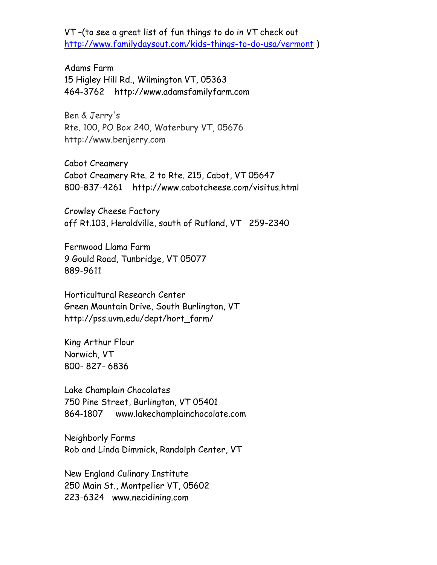VT –(to see a great list of fun things to do in VT check out <http://www.familydaysout.com/kids-things-to-do-usa/vermont> )

Adams Farm 15 Higley Hill Rd., Wilmington VT, 05363 464-3762 http://www.adamsfamilyfarm.com

Ben & Jerry's Rte. 100, PO Box 240, Waterbury VT, 05676 http://www.benjerry.com

Cabot Creamery Cabot Creamery Rte. 2 to Rte. 215, Cabot, VT 05647 800-837-4261 http://www.cabotcheese.com/visitus.html

Crowley Cheese Factory off Rt.103, Heraldville, south of Rutland, VT 259-2340

Fernwood Llama Farm 9 Gould Road, Tunbridge, VT 05077 889-9611

Horticultural Research Center Green Mountain Drive, South Burlington, VT http://pss.uvm.edu/dept/hort\_farm/

King Arthur Flour Norwich, VT 800- 827- 6836

Lake Champlain Chocolates 750 Pine Street, Burlington, VT 05401 864-1807 www.lakechamplainchocolate.com

Neighborly Farms Rob and Linda Dimmick, Randolph Center, VT

New England Culinary Institute 250 Main St., Montpelier VT, 05602 223-6324 www.necidining.com